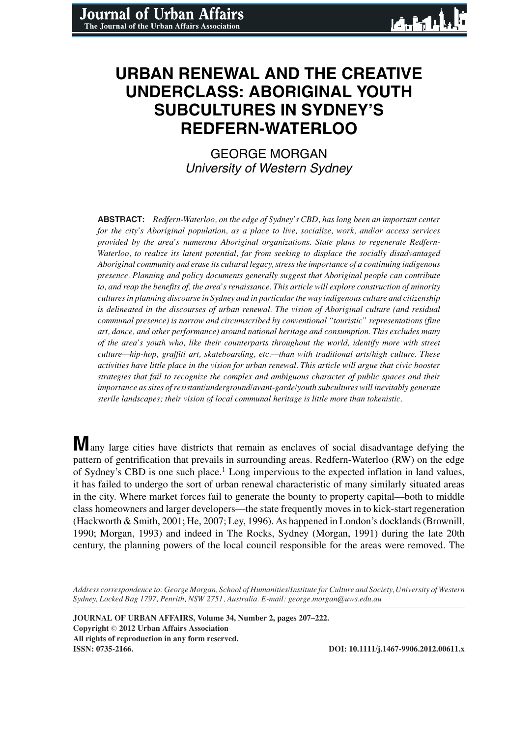# **URBAN RENEWAL AND THE CREATIVE UNDERCLASS: ABORIGINAL YOUTH SUBCULTURES IN SYDNEY'S REDFERN-WATERLOO**

# GEORGE MORGAN University of Western Sydney

**ABSTRACT:** *Redfern-Waterloo, on the edge of Sydney's CBD, has long been an important center for the city's Aboriginal population, as a place to live, socialize, work, and/or access services provided by the area's numerous Aboriginal organizations. State plans to regenerate Redfern-Waterloo, to realize its latent potential, far from seeking to displace the socially disadvantaged Aboriginal community and erase its cultural legacy, stress the importance of a continuing indigenous presence. Planning and policy documents generally suggest that Aboriginal people can contribute to, and reap the benefits of, the area's renaissance. This article will explore construction of minority cultures in planning discourse in Sydney and in particular the way indigenous culture and citizenship is delineated in the discourses of urban renewal. The vision of Aboriginal culture (and residual communal presence) is narrow and circumscribed by conventional "touristic" representations (fine art, dance, and other performance) around national heritage and consumption. This excludes many of the area's youth who, like their counterparts throughout the world, identify more with street culture—hip-hop, graffiti art, skateboarding, etc.—than with traditional arts/high culture. These activities have little place in the vision for urban renewal. This article will argue that civic booster strategies that fail to recognize the complex and ambiguous character of public spaces and their importance as sites of resistant/underground/avant-garde/youth subcultures will inevitably generate sterile landscapes; their vision of local communal heritage is little more than tokenistic.*

**M**any large cities have districts that remain as enclaves of social disadvantage defying the pattern of gentrification that prevails in surrounding areas. Redfern-Waterloo (RW) on the edge of Sydney's CBD is one such place.<sup>1</sup> Long impervious to the expected inflation in land values, it has failed to undergo the sort of urban renewal characteristic of many similarly situated areas in the city. Where market forces fail to generate the bounty to property capital—both to middle class homeowners and larger developers—the state frequently moves in to kick-start regeneration (Hackworth & Smith, 2001; He, 2007; Ley, 1996). As happened in London's docklands (Brownill, 1990; Morgan, 1993) and indeed in The Rocks, Sydney (Morgan, 1991) during the late 20th century, the planning powers of the local council responsible for the areas were removed. The

*Address correspondence to: George Morgan, School of Humanities/Institute for Culture and Society, University of Western Sydney, Locked Bag 1797, Penrith, NSW 2751, Australia. E-mail: george.morgan@uws.edu.au*

**JOURNAL OF URBAN AFFAIRS, Volume 34, Number 2, pages 207–222. Copyright** -**<sup>C</sup> 2012 Urban Affairs Association All rights of reproduction in any form reserved. ISSN: 0735-2166. DOI: 10.1111/j.1467-9906.2012.00611.x**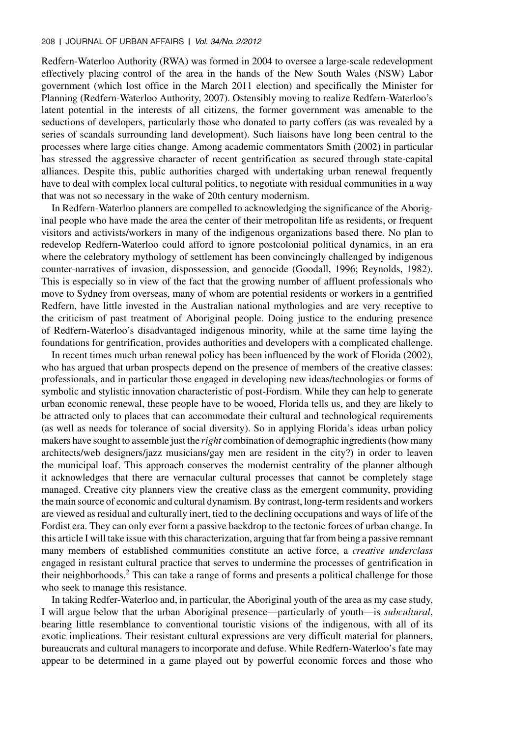Redfern-Waterloo Authority (RWA) was formed in 2004 to oversee a large-scale redevelopment effectively placing control of the area in the hands of the New South Wales (NSW) Labor government (which lost office in the March 2011 election) and specifically the Minister for Planning (Redfern-Waterloo Authority, 2007). Ostensibly moving to realize Redfern-Waterloo's latent potential in the interests of all citizens, the former government was amenable to the seductions of developers, particularly those who donated to party coffers (as was revealed by a series of scandals surrounding land development). Such liaisons have long been central to the processes where large cities change. Among academic commentators Smith (2002) in particular has stressed the aggressive character of recent gentrification as secured through state-capital alliances. Despite this, public authorities charged with undertaking urban renewal frequently have to deal with complex local cultural politics, to negotiate with residual communities in a way that was not so necessary in the wake of 20th century modernism.

In Redfern-Waterloo planners are compelled to acknowledging the significance of the Aboriginal people who have made the area the center of their metropolitan life as residents, or frequent visitors and activists/workers in many of the indigenous organizations based there. No plan to redevelop Redfern-Waterloo could afford to ignore postcolonial political dynamics, in an era where the celebratory mythology of settlement has been convincingly challenged by indigenous counter-narratives of invasion, dispossession, and genocide (Goodall, 1996; Reynolds, 1982). This is especially so in view of the fact that the growing number of affluent professionals who move to Sydney from overseas, many of whom are potential residents or workers in a gentrified Redfern, have little invested in the Australian national mythologies and are very receptive to the criticism of past treatment of Aboriginal people. Doing justice to the enduring presence of Redfern-Waterloo's disadvantaged indigenous minority, while at the same time laying the foundations for gentrification, provides authorities and developers with a complicated challenge.

In recent times much urban renewal policy has been influenced by the work of Florida (2002), who has argued that urban prospects depend on the presence of members of the creative classes: professionals, and in particular those engaged in developing new ideas/technologies or forms of symbolic and stylistic innovation characteristic of post-Fordism. While they can help to generate urban economic renewal, these people have to be wooed, Florida tells us, and they are likely to be attracted only to places that can accommodate their cultural and technological requirements (as well as needs for tolerance of social diversity). So in applying Florida's ideas urban policy makers have sought to assemble just the *right* combination of demographic ingredients (how many architects/web designers/jazz musicians/gay men are resident in the city?) in order to leaven the municipal loaf. This approach conserves the modernist centrality of the planner although it acknowledges that there are vernacular cultural processes that cannot be completely stage managed. Creative city planners view the creative class as the emergent community, providing the main source of economic and cultural dynamism. By contrast, long-term residents and workers are viewed as residual and culturally inert, tied to the declining occupations and ways of life of the Fordist era. They can only ever form a passive backdrop to the tectonic forces of urban change. In this article I will take issue with this characterization, arguing that far from being a passive remnant many members of established communities constitute an active force, a *creative underclass* engaged in resistant cultural practice that serves to undermine the processes of gentrification in their neighborhoods.2 This can take a range of forms and presents a political challenge for those who seek to manage this resistance.

In taking Redfer-Waterloo and, in particular, the Aboriginal youth of the area as my case study, I will argue below that the urban Aboriginal presence—particularly of youth—is *subcultural*, bearing little resemblance to conventional touristic visions of the indigenous, with all of its exotic implications. Their resistant cultural expressions are very difficult material for planners, bureaucrats and cultural managers to incorporate and defuse. While Redfern-Waterloo's fate may appear to be determined in a game played out by powerful economic forces and those who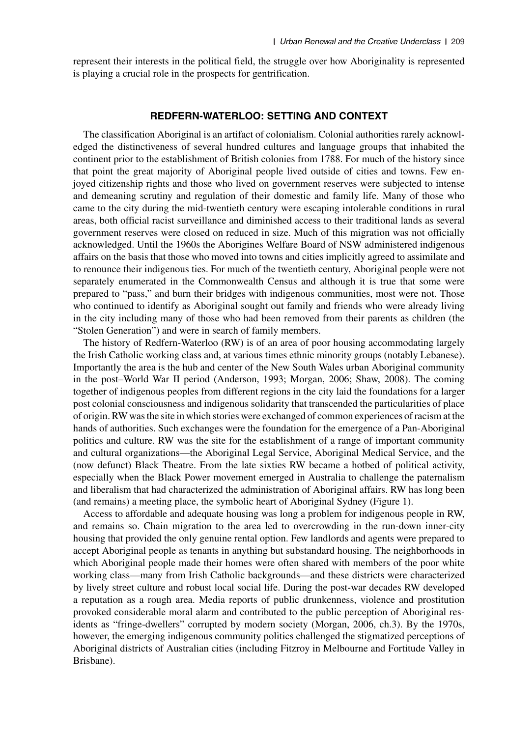represent their interests in the political field, the struggle over how Aboriginality is represented is playing a crucial role in the prospects for gentrification.

# **REDFERN-WATERLOO: SETTING AND CONTEXT**

The classification Aboriginal is an artifact of colonialism. Colonial authorities rarely acknowledged the distinctiveness of several hundred cultures and language groups that inhabited the continent prior to the establishment of British colonies from 1788. For much of the history since that point the great majority of Aboriginal people lived outside of cities and towns. Few enjoyed citizenship rights and those who lived on government reserves were subjected to intense and demeaning scrutiny and regulation of their domestic and family life. Many of those who came to the city during the mid-twentieth century were escaping intolerable conditions in rural areas, both official racist surveillance and diminished access to their traditional lands as several government reserves were closed on reduced in size. Much of this migration was not officially acknowledged. Until the 1960s the Aborigines Welfare Board of NSW administered indigenous affairs on the basis that those who moved into towns and cities implicitly agreed to assimilate and to renounce their indigenous ties. For much of the twentieth century, Aboriginal people were not separately enumerated in the Commonwealth Census and although it is true that some were prepared to "pass," and burn their bridges with indigenous communities, most were not. Those who continued to identify as Aboriginal sought out family and friends who were already living in the city including many of those who had been removed from their parents as children (the "Stolen Generation") and were in search of family members.

The history of Redfern-Waterloo (RW) is of an area of poor housing accommodating largely the Irish Catholic working class and, at various times ethnic minority groups (notably Lebanese). Importantly the area is the hub and center of the New South Wales urban Aboriginal community in the post–World War II period (Anderson, 1993; Morgan, 2006; Shaw, 2008). The coming together of indigenous peoples from different regions in the city laid the foundations for a larger post colonial consciousness and indigenous solidarity that transcended the particularities of place of origin. RW was the site in which stories were exchanged of common experiences of racism at the hands of authorities. Such exchanges were the foundation for the emergence of a Pan-Aboriginal politics and culture. RW was the site for the establishment of a range of important community and cultural organizations—the Aboriginal Legal Service, Aboriginal Medical Service, and the (now defunct) Black Theatre. From the late sixties RW became a hotbed of political activity, especially when the Black Power movement emerged in Australia to challenge the paternalism and liberalism that had characterized the administration of Aboriginal affairs. RW has long been (and remains) a meeting place, the symbolic heart of Aboriginal Sydney (Figure 1).

Access to affordable and adequate housing was long a problem for indigenous people in RW, and remains so. Chain migration to the area led to overcrowding in the run-down inner-city housing that provided the only genuine rental option. Few landlords and agents were prepared to accept Aboriginal people as tenants in anything but substandard housing. The neighborhoods in which Aboriginal people made their homes were often shared with members of the poor white working class—many from Irish Catholic backgrounds—and these districts were characterized by lively street culture and robust local social life. During the post-war decades RW developed a reputation as a rough area. Media reports of public drunkenness, violence and prostitution provoked considerable moral alarm and contributed to the public perception of Aboriginal residents as "fringe-dwellers" corrupted by modern society (Morgan, 2006, ch.3). By the 1970s, however, the emerging indigenous community politics challenged the stigmatized perceptions of Aboriginal districts of Australian cities (including Fitzroy in Melbourne and Fortitude Valley in Brisbane).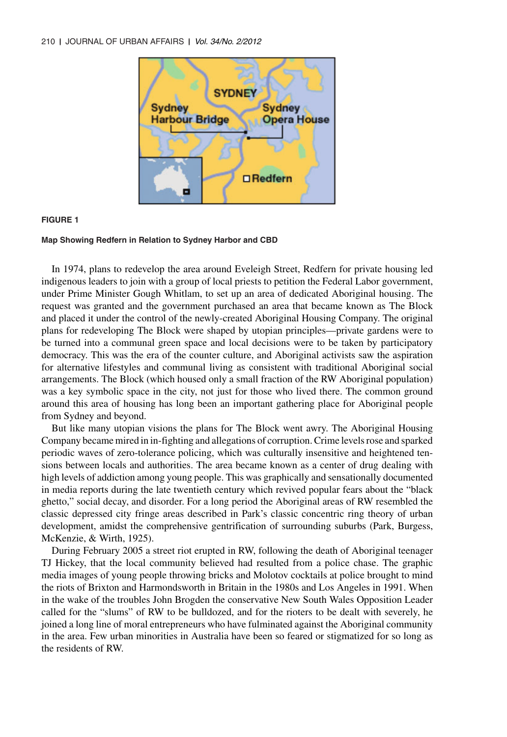

#### **Map Showing Redfern in Relation to Sydney Harbor and CBD**

In 1974, plans to redevelop the area around Eveleigh Street, Redfern for private housing led indigenous leaders to join with a group of local priests to petition the Federal Labor government, under Prime Minister Gough Whitlam, to set up an area of dedicated Aboriginal housing. The request was granted and the government purchased an area that became known as The Block and placed it under the control of the newly-created Aboriginal Housing Company. The original plans for redeveloping The Block were shaped by utopian principles—private gardens were to be turned into a communal green space and local decisions were to be taken by participatory democracy. This was the era of the counter culture, and Aboriginal activists saw the aspiration for alternative lifestyles and communal living as consistent with traditional Aboriginal social arrangements. The Block (which housed only a small fraction of the RW Aboriginal population) was a key symbolic space in the city, not just for those who lived there. The common ground around this area of housing has long been an important gathering place for Aboriginal people from Sydney and beyond.

But like many utopian visions the plans for The Block went awry. The Aboriginal Housing Company became mired in in-fighting and allegations of corruption. Crime levels rose and sparked periodic waves of zero-tolerance policing, which was culturally insensitive and heightened tensions between locals and authorities. The area became known as a center of drug dealing with high levels of addiction among young people. This was graphically and sensationally documented in media reports during the late twentieth century which revived popular fears about the "black ghetto," social decay, and disorder. For a long period the Aboriginal areas of RW resembled the classic depressed city fringe areas described in Park's classic concentric ring theory of urban development, amidst the comprehensive gentrification of surrounding suburbs (Park, Burgess, McKenzie, & Wirth, 1925).

During February 2005 a street riot erupted in RW, following the death of Aboriginal teenager TJ Hickey, that the local community believed had resulted from a police chase. The graphic media images of young people throwing bricks and Molotov cocktails at police brought to mind the riots of Brixton and Harmondsworth in Britain in the 1980s and Los Angeles in 1991. When in the wake of the troubles John Brogden the conservative New South Wales Opposition Leader called for the "slums" of RW to be bulldozed, and for the rioters to be dealt with severely, he joined a long line of moral entrepreneurs who have fulminated against the Aboriginal community in the area. Few urban minorities in Australia have been so feared or stigmatized for so long as the residents of RW.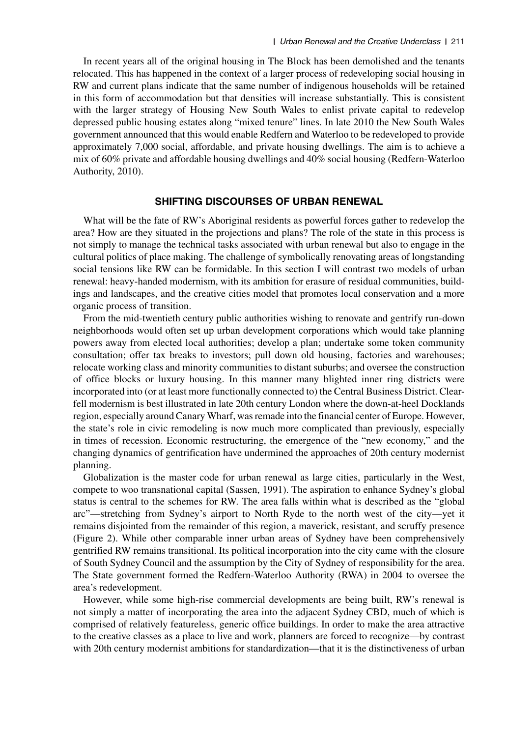In recent years all of the original housing in The Block has been demolished and the tenants relocated. This has happened in the context of a larger process of redeveloping social housing in RW and current plans indicate that the same number of indigenous households will be retained in this form of accommodation but that densities will increase substantially. This is consistent with the larger strategy of Housing New South Wales to enlist private capital to redevelop depressed public housing estates along "mixed tenure" lines. In late 2010 the New South Wales government announced that this would enable Redfern and Waterloo to be redeveloped to provide approximately 7,000 social, affordable, and private housing dwellings. The aim is to achieve a mix of 60% private and affordable housing dwellings and 40% social housing (Redfern-Waterloo Authority, 2010).

# **SHIFTING DISCOURSES OF URBAN RENEWAL**

What will be the fate of RW's Aboriginal residents as powerful forces gather to redevelop the area? How are they situated in the projections and plans? The role of the state in this process is not simply to manage the technical tasks associated with urban renewal but also to engage in the cultural politics of place making. The challenge of symbolically renovating areas of longstanding social tensions like RW can be formidable. In this section I will contrast two models of urban renewal: heavy-handed modernism, with its ambition for erasure of residual communities, buildings and landscapes, and the creative cities model that promotes local conservation and a more organic process of transition.

From the mid-twentieth century public authorities wishing to renovate and gentrify run-down neighborhoods would often set up urban development corporations which would take planning powers away from elected local authorities; develop a plan; undertake some token community consultation; offer tax breaks to investors; pull down old housing, factories and warehouses; relocate working class and minority communities to distant suburbs; and oversee the construction of office blocks or luxury housing. In this manner many blighted inner ring districts were incorporated into (or at least more functionally connected to) the Central Business District. Clearfell modernism is best illustrated in late 20th century London where the down-at-heel Docklands region, especially around Canary Wharf, was remade into the financial center of Europe. However, the state's role in civic remodeling is now much more complicated than previously, especially in times of recession. Economic restructuring, the emergence of the "new economy," and the changing dynamics of gentrification have undermined the approaches of 20th century modernist planning.

Globalization is the master code for urban renewal as large cities, particularly in the West, compete to woo transnational capital (Sassen, 1991). The aspiration to enhance Sydney's global status is central to the schemes for RW. The area falls within what is described as the "global arc"—stretching from Sydney's airport to North Ryde to the north west of the city—yet it remains disjointed from the remainder of this region, a maverick, resistant, and scruffy presence (Figure 2). While other comparable inner urban areas of Sydney have been comprehensively gentrified RW remains transitional. Its political incorporation into the city came with the closure of South Sydney Council and the assumption by the City of Sydney of responsibility for the area. The State government formed the Redfern-Waterloo Authority (RWA) in 2004 to oversee the area's redevelopment.

However, while some high-rise commercial developments are being built, RW's renewal is not simply a matter of incorporating the area into the adjacent Sydney CBD, much of which is comprised of relatively featureless, generic office buildings. In order to make the area attractive to the creative classes as a place to live and work, planners are forced to recognize—by contrast with 20th century modernist ambitions for standardization—that it is the distinctiveness of urban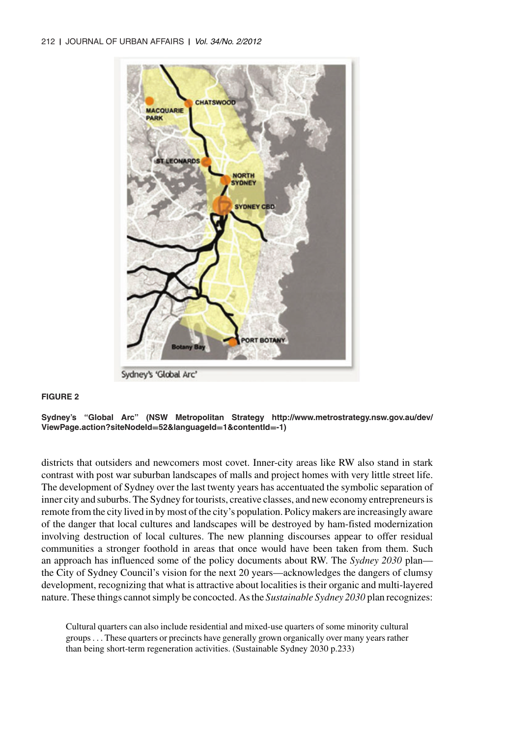

**Sydney's "Global Arc" (NSW Metropolitan Strategy http://www.metrostrategy.nsw.gov.au/dev/ ViewPage.action?siteNodeId=52&languageId=1&contentId=-1)**

districts that outsiders and newcomers most covet. Inner-city areas like RW also stand in stark contrast with post war suburban landscapes of malls and project homes with very little street life. The development of Sydney over the last twenty years has accentuated the symbolic separation of inner city and suburbs. The Sydney for tourists, creative classes, and new economy entrepreneurs is remote from the city lived in by most of the city's population. Policy makers are increasingly aware of the danger that local cultures and landscapes will be destroyed by ham-fisted modernization involving destruction of local cultures. The new planning discourses appear to offer residual communities a stronger foothold in areas that once would have been taken from them. Such an approach has influenced some of the policy documents about RW. The *Sydney 2030* plan the City of Sydney Council's vision for the next 20 years—acknowledges the dangers of clumsy development, recognizing that what is attractive about localities is their organic and multi-layered nature. These things cannot simply be concocted. As the *Sustainable Sydney 2030* plan recognizes:

Cultural quarters can also include residential and mixed-use quarters of some minority cultural groups... These quarters or precincts have generally grown organically over many years rather than being short-term regeneration activities. (Sustainable Sydney 2030 p.233)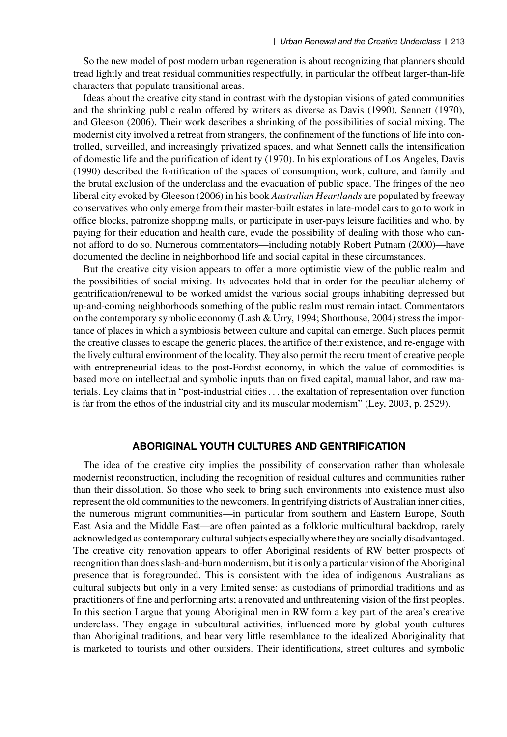So the new model of post modern urban regeneration is about recognizing that planners should tread lightly and treat residual communities respectfully, in particular the offbeat larger-than-life characters that populate transitional areas.

Ideas about the creative city stand in contrast with the dystopian visions of gated communities and the shrinking public realm offered by writers as diverse as Davis (1990), Sennett (1970), and Gleeson (2006). Their work describes a shrinking of the possibilities of social mixing. The modernist city involved a retreat from strangers, the confinement of the functions of life into controlled, surveilled, and increasingly privatized spaces, and what Sennett calls the intensification of domestic life and the purification of identity (1970). In his explorations of Los Angeles, Davis (1990) described the fortification of the spaces of consumption, work, culture, and family and the brutal exclusion of the underclass and the evacuation of public space. The fringes of the neo liberal city evoked by Gleeson (2006) in his book *Australian Heartlands* are populated by freeway conservatives who only emerge from their master-built estates in late-model cars to go to work in office blocks, patronize shopping malls, or participate in user-pays leisure facilities and who, by paying for their education and health care, evade the possibility of dealing with those who cannot afford to do so. Numerous commentators—including notably Robert Putnam (2000)—have documented the decline in neighborhood life and social capital in these circumstances.

But the creative city vision appears to offer a more optimistic view of the public realm and the possibilities of social mixing. Its advocates hold that in order for the peculiar alchemy of gentrification/renewal to be worked amidst the various social groups inhabiting depressed but up-and-coming neighborhoods something of the public realm must remain intact. Commentators on the contemporary symbolic economy (Lash & Urry, 1994; Shorthouse, 2004) stress the importance of places in which a symbiosis between culture and capital can emerge. Such places permit the creative classes to escape the generic places, the artifice of their existence, and re-engage with the lively cultural environment of the locality. They also permit the recruitment of creative people with entrepreneurial ideas to the post-Fordist economy, in which the value of commodities is based more on intellectual and symbolic inputs than on fixed capital, manual labor, and raw materials. Ley claims that in "post-industrial cities... the exaltation of representation over function is far from the ethos of the industrial city and its muscular modernism" (Ley, 2003, p. 2529).

## **ABORIGINAL YOUTH CULTURES AND GENTRIFICATION**

The idea of the creative city implies the possibility of conservation rather than wholesale modernist reconstruction, including the recognition of residual cultures and communities rather than their dissolution. So those who seek to bring such environments into existence must also represent the old communities to the newcomers. In gentrifying districts of Australian inner cities, the numerous migrant communities—in particular from southern and Eastern Europe, South East Asia and the Middle East—are often painted as a folkloric multicultural backdrop, rarely acknowledged as contemporary cultural subjects especially where they are socially disadvantaged. The creative city renovation appears to offer Aboriginal residents of RW better prospects of recognition than does slash-and-burn modernism, but it is only a particular vision of the Aboriginal presence that is foregrounded. This is consistent with the idea of indigenous Australians as cultural subjects but only in a very limited sense: as custodians of primordial traditions and as practitioners of fine and performing arts; a renovated and unthreatening vision of the first peoples. In this section I argue that young Aboriginal men in RW form a key part of the area's creative underclass. They engage in subcultural activities, influenced more by global youth cultures than Aboriginal traditions, and bear very little resemblance to the idealized Aboriginality that is marketed to tourists and other outsiders. Their identifications, street cultures and symbolic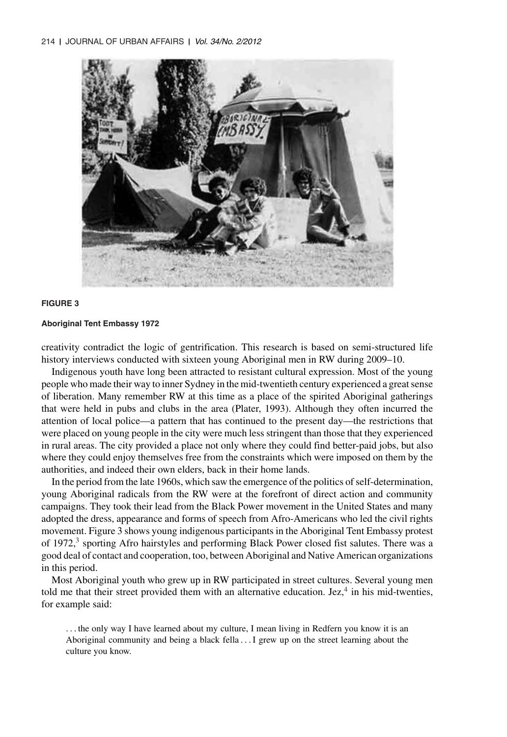

#### **Aboriginal Tent Embassy 1972**

creativity contradict the logic of gentrification. This research is based on semi-structured life history interviews conducted with sixteen young Aboriginal men in RW during 2009–10.

Indigenous youth have long been attracted to resistant cultural expression. Most of the young people who made their way to inner Sydney in the mid-twentieth century experienced a great sense of liberation. Many remember RW at this time as a place of the spirited Aboriginal gatherings that were held in pubs and clubs in the area (Plater, 1993). Although they often incurred the attention of local police—a pattern that has continued to the present day—the restrictions that were placed on young people in the city were much less stringent than those that they experienced in rural areas. The city provided a place not only where they could find better-paid jobs, but also where they could enjoy themselves free from the constraints which were imposed on them by the authorities, and indeed their own elders, back in their home lands.

In the period from the late 1960s, which saw the emergence of the politics of self-determination, young Aboriginal radicals from the RW were at the forefront of direct action and community campaigns. They took their lead from the Black Power movement in the United States and many adopted the dress, appearance and forms of speech from Afro-Americans who led the civil rights movement. Figure 3 shows young indigenous participants in the Aboriginal Tent Embassy protest of 1972,<sup>3</sup> sporting Afro hairstyles and performing Black Power closed fist salutes. There was a good deal of contact and cooperation, too, between Aboriginal and Native American organizations in this period.

Most Aboriginal youth who grew up in RW participated in street cultures. Several young men told me that their street provided them with an alternative education. Jez, $4$  in his mid-twenties, for example said:

... the only way I have learned about my culture, I mean living in Redfern you know it is an Aboriginal community and being a black fella ... I grew up on the street learning about the culture you know.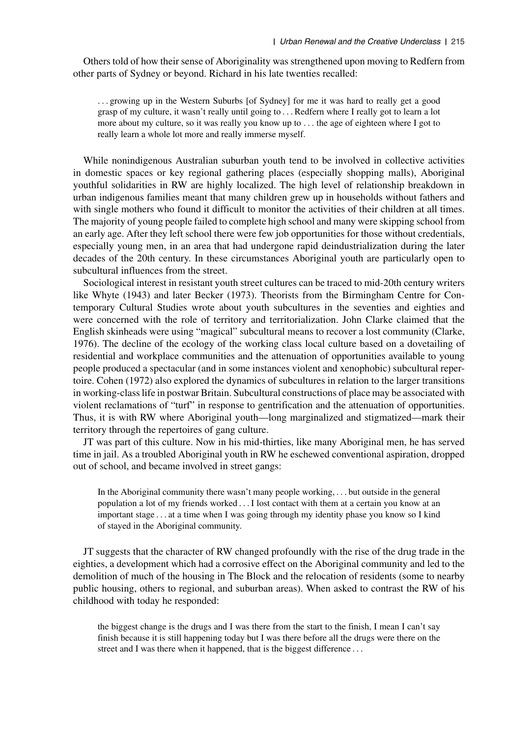Others told of how their sense of Aboriginality was strengthened upon moving to Redfern from other parts of Sydney or beyond. Richard in his late twenties recalled:

... growing up in the Western Suburbs [of Sydney] for me it was hard to really get a good grasp of my culture, it wasn't really until going to ...Redfern where I really got to learn a lot more about my culture, so it was really you know up to ... the age of eighteen where I got to really learn a whole lot more and really immerse myself.

While nonindigenous Australian suburban youth tend to be involved in collective activities in domestic spaces or key regional gathering places (especially shopping malls), Aboriginal youthful solidarities in RW are highly localized. The high level of relationship breakdown in urban indigenous families meant that many children grew up in households without fathers and with single mothers who found it difficult to monitor the activities of their children at all times. The majority of young people failed to complete high school and many were skipping school from an early age. After they left school there were few job opportunities for those without credentials, especially young men, in an area that had undergone rapid deindustrialization during the later decades of the 20th century. In these circumstances Aboriginal youth are particularly open to subcultural influences from the street.

Sociological interest in resistant youth street cultures can be traced to mid-20th century writers like Whyte (1943) and later Becker (1973). Theorists from the Birmingham Centre for Contemporary Cultural Studies wrote about youth subcultures in the seventies and eighties and were concerned with the role of territory and territorialization. John Clarke claimed that the English skinheads were using "magical" subcultural means to recover a lost community (Clarke, 1976). The decline of the ecology of the working class local culture based on a dovetailing of residential and workplace communities and the attenuation of opportunities available to young people produced a spectacular (and in some instances violent and xenophobic) subcultural repertoire. Cohen (1972) also explored the dynamics of subcultures in relation to the larger transitions in working-class life in postwar Britain. Subcultural constructions of place may be associated with violent reclamations of "turf" in response to gentrification and the attenuation of opportunities. Thus, it is with RW where Aboriginal youth—long marginalized and stigmatized—mark their territory through the repertoires of gang culture.

JT was part of this culture. Now in his mid-thirties, like many Aboriginal men, he has served time in jail. As a troubled Aboriginal youth in RW he eschewed conventional aspiration, dropped out of school, and became involved in street gangs:

In the Aboriginal community there wasn't many people working, ... but outside in the general population a lot of my friends worked ... I lost contact with them at a certain you know at an important stage ... at a time when I was going through my identity phase you know so I kind of stayed in the Aboriginal community.

JT suggests that the character of RW changed profoundly with the rise of the drug trade in the eighties, a development which had a corrosive effect on the Aboriginal community and led to the demolition of much of the housing in The Block and the relocation of residents (some to nearby public housing, others to regional, and suburban areas). When asked to contrast the RW of his childhood with today he responded:

the biggest change is the drugs and I was there from the start to the finish, I mean I can't say finish because it is still happening today but I was there before all the drugs were there on the street and I was there when it happened, that is the biggest difference ...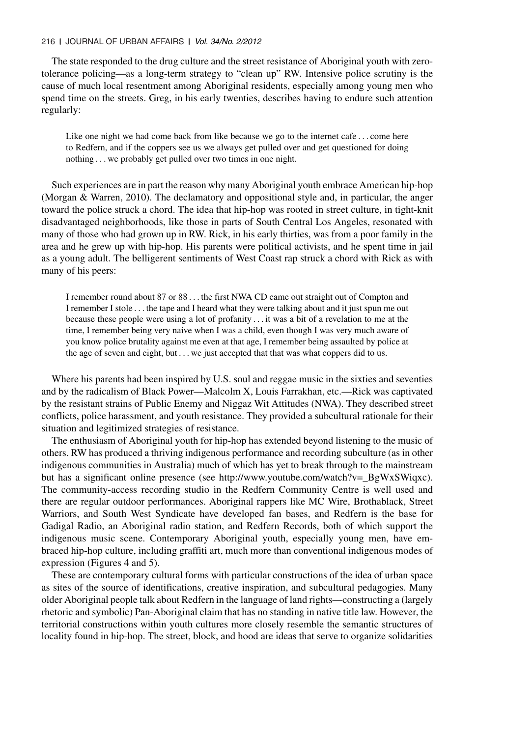#### 216 | JOURNAL OF URBAN AFFAIRS | Vol. 34/No. 2/2012

The state responded to the drug culture and the street resistance of Aboriginal youth with zerotolerance policing—as a long-term strategy to "clean up" RW. Intensive police scrutiny is the cause of much local resentment among Aboriginal residents, especially among young men who spend time on the streets. Greg, in his early twenties, describes having to endure such attention regularly:

Like one night we had come back from like because we go to the internet cafe ... come here to Redfern, and if the coppers see us we always get pulled over and get questioned for doing nothing ... we probably get pulled over two times in one night.

Such experiences are in part the reason why many Aboriginal youth embrace American hip-hop (Morgan & Warren, 2010). The declamatory and oppositional style and, in particular, the anger toward the police struck a chord. The idea that hip-hop was rooted in street culture, in tight-knit disadvantaged neighborhoods, like those in parts of South Central Los Angeles, resonated with many of those who had grown up in RW. Rick, in his early thirties, was from a poor family in the area and he grew up with hip-hop. His parents were political activists, and he spent time in jail as a young adult. The belligerent sentiments of West Coast rap struck a chord with Rick as with many of his peers:

I remember round about 87 or 88 ... the first NWA CD came out straight out of Compton and I remember I stole ... the tape and I heard what they were talking about and it just spun me out because these people were using a lot of profanity ... it was a bit of a revelation to me at the time, I remember being very naive when I was a child, even though I was very much aware of you know police brutality against me even at that age, I remember being assaulted by police at the age of seven and eight, but ... we just accepted that that was what coppers did to us.

Where his parents had been inspired by U.S. soul and reggae music in the sixties and seventies and by the radicalism of Black Power—Malcolm X, Louis Farrakhan, etc.—Rick was captivated by the resistant strains of Public Enemy and Niggaz Wit Attitudes (NWA). They described street conflicts, police harassment, and youth resistance. They provided a subcultural rationale for their situation and legitimized strategies of resistance.

The enthusiasm of Aboriginal youth for hip-hop has extended beyond listening to the music of others. RW has produced a thriving indigenous performance and recording subculture (as in other indigenous communities in Australia) much of which has yet to break through to the mainstream but has a significant online presence (see http://www.youtube.com/watch?v=\_BgWxSWiqxc). The community-access recording studio in the Redfern Community Centre is well used and there are regular outdoor performances. Aboriginal rappers like MC Wire, Brothablack, Street Warriors, and South West Syndicate have developed fan bases, and Redfern is the base for Gadigal Radio, an Aboriginal radio station, and Redfern Records, both of which support the indigenous music scene. Contemporary Aboriginal youth, especially young men, have embraced hip-hop culture, including graffiti art, much more than conventional indigenous modes of expression (Figures 4 and 5).

These are contemporary cultural forms with particular constructions of the idea of urban space as sites of the source of identifications, creative inspiration, and subcultural pedagogies. Many older Aboriginal people talk about Redfern in the language of land rights—constructing a (largely rhetoric and symbolic) Pan-Aboriginal claim that has no standing in native title law. However, the territorial constructions within youth cultures more closely resemble the semantic structures of locality found in hip-hop. The street, block, and hood are ideas that serve to organize solidarities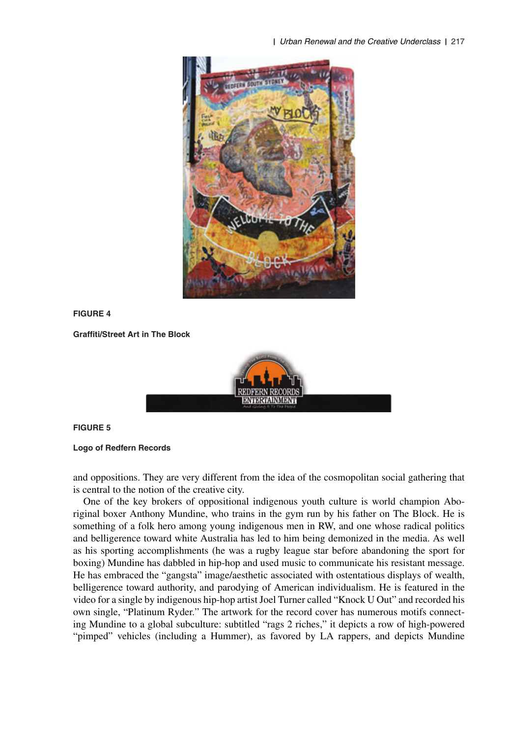

**Graffiti/Street Art in The Block**

![](_page_10_Picture_4.jpeg)

#### **FIGURE 5**

#### **Logo of Redfern Records**

and oppositions. They are very different from the idea of the cosmopolitan social gathering that is central to the notion of the creative city.

One of the key brokers of oppositional indigenous youth culture is world champion Aboriginal boxer Anthony Mundine, who trains in the gym run by his father on The Block. He is something of a folk hero among young indigenous men in RW, and one whose radical politics and belligerence toward white Australia has led to him being demonized in the media. As well as his sporting accomplishments (he was a rugby league star before abandoning the sport for boxing) Mundine has dabbled in hip-hop and used music to communicate his resistant message. He has embraced the "gangsta" image/aesthetic associated with ostentatious displays of wealth, belligerence toward authority, and parodying of American individualism. He is featured in the video for a single by indigenous hip-hop artist Joel Turner called "Knock U Out" and recorded his own single, "Platinum Ryder." The artwork for the record cover has numerous motifs connecting Mundine to a global subculture: subtitled "rags 2 riches," it depicts a row of high-powered "pimped" vehicles (including a Hummer), as favored by LA rappers, and depicts Mundine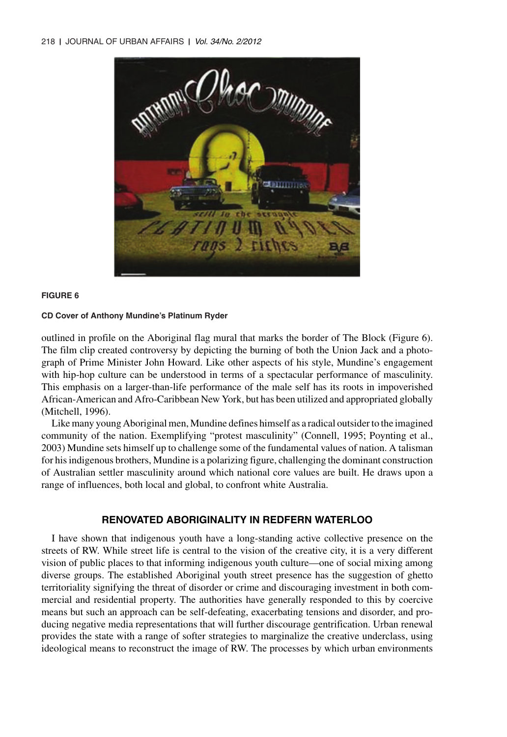![](_page_11_Picture_1.jpeg)

#### **CD Cover of Anthony Mundine's Platinum Ryder**

outlined in profile on the Aboriginal flag mural that marks the border of The Block (Figure 6). The film clip created controversy by depicting the burning of both the Union Jack and a photograph of Prime Minister John Howard. Like other aspects of his style, Mundine's engagement with hip-hop culture can be understood in terms of a spectacular performance of masculinity. This emphasis on a larger-than-life performance of the male self has its roots in impoverished African-American and Afro-Caribbean New York, but has been utilized and appropriated globally (Mitchell, 1996).

Like many young Aboriginal men, Mundine defines himself as a radical outsider to the imagined community of the nation. Exemplifying "protest masculinity" (Connell, 1995; Poynting et al., 2003) Mundine sets himself up to challenge some of the fundamental values of nation. A talisman for his indigenous brothers, Mundine is a polarizing figure, challenging the dominant construction of Australian settler masculinity around which national core values are built. He draws upon a range of influences, both local and global, to confront white Australia.

# **RENOVATED ABORIGINALITY IN REDFERN WATERLOO**

I have shown that indigenous youth have a long-standing active collective presence on the streets of RW. While street life is central to the vision of the creative city, it is a very different vision of public places to that informing indigenous youth culture—one of social mixing among diverse groups. The established Aboriginal youth street presence has the suggestion of ghetto territoriality signifying the threat of disorder or crime and discouraging investment in both commercial and residential property. The authorities have generally responded to this by coercive means but such an approach can be self-defeating, exacerbating tensions and disorder, and producing negative media representations that will further discourage gentrification. Urban renewal provides the state with a range of softer strategies to marginalize the creative underclass, using ideological means to reconstruct the image of RW. The processes by which urban environments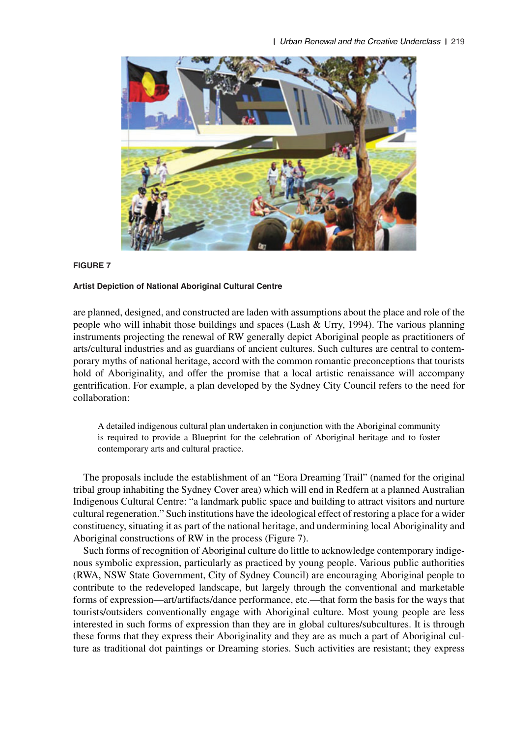![](_page_12_Picture_1.jpeg)

#### **Artist Depiction of National Aboriginal Cultural Centre**

are planned, designed, and constructed are laden with assumptions about the place and role of the people who will inhabit those buildings and spaces (Lash & Urry, 1994). The various planning instruments projecting the renewal of RW generally depict Aboriginal people as practitioners of arts/cultural industries and as guardians of ancient cultures. Such cultures are central to contemporary myths of national heritage, accord with the common romantic preconceptions that tourists hold of Aboriginality, and offer the promise that a local artistic renaissance will accompany gentrification. For example, a plan developed by the Sydney City Council refers to the need for collaboration:

A detailed indigenous cultural plan undertaken in conjunction with the Aboriginal community is required to provide a Blueprint for the celebration of Aboriginal heritage and to foster contemporary arts and cultural practice.

The proposals include the establishment of an "Eora Dreaming Trail" (named for the original tribal group inhabiting the Sydney Cover area) which will end in Redfern at a planned Australian Indigenous Cultural Centre: "a landmark public space and building to attract visitors and nurture cultural regeneration." Such institutions have the ideological effect of restoring a place for a wider constituency, situating it as part of the national heritage, and undermining local Aboriginality and Aboriginal constructions of RW in the process (Figure 7).

Such forms of recognition of Aboriginal culture do little to acknowledge contemporary indigenous symbolic expression, particularly as practiced by young people. Various public authorities (RWA, NSW State Government, City of Sydney Council) are encouraging Aboriginal people to contribute to the redeveloped landscape, but largely through the conventional and marketable forms of expression—art/artifacts/dance performance, etc.—that form the basis for the ways that tourists/outsiders conventionally engage with Aboriginal culture. Most young people are less interested in such forms of expression than they are in global cultures/subcultures. It is through these forms that they express their Aboriginality and they are as much a part of Aboriginal culture as traditional dot paintings or Dreaming stories. Such activities are resistant; they express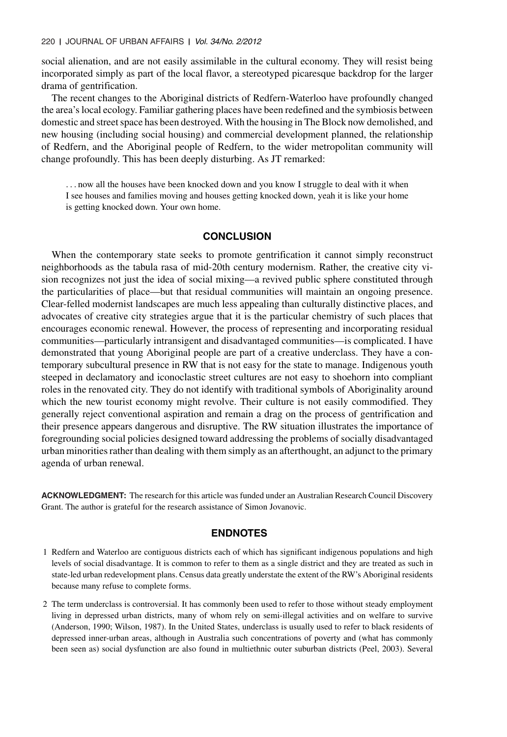social alienation, and are not easily assimilable in the cultural economy. They will resist being incorporated simply as part of the local flavor, a stereotyped picaresque backdrop for the larger drama of gentrification.

The recent changes to the Aboriginal districts of Redfern-Waterloo have profoundly changed the area's local ecology. Familiar gathering places have been redefined and the symbiosis between domestic and street space has been destroyed. With the housing in The Block now demolished, and new housing (including social housing) and commercial development planned, the relationship of Redfern, and the Aboriginal people of Redfern, to the wider metropolitan community will change profoundly. This has been deeply disturbing. As JT remarked:

... now all the houses have been knocked down and you know I struggle to deal with it when I see houses and families moving and houses getting knocked down, yeah it is like your home is getting knocked down. Your own home.

# **CONCLUSION**

When the contemporary state seeks to promote gentrification it cannot simply reconstruct neighborhoods as the tabula rasa of mid-20th century modernism. Rather, the creative city vision recognizes not just the idea of social mixing—a revived public sphere constituted through the particularities of place—but that residual communities will maintain an ongoing presence. Clear-felled modernist landscapes are much less appealing than culturally distinctive places, and advocates of creative city strategies argue that it is the particular chemistry of such places that encourages economic renewal. However, the process of representing and incorporating residual communities—particularly intransigent and disadvantaged communities—is complicated. I have demonstrated that young Aboriginal people are part of a creative underclass. They have a contemporary subcultural presence in RW that is not easy for the state to manage. Indigenous youth steeped in declamatory and iconoclastic street cultures are not easy to shoehorn into compliant roles in the renovated city. They do not identify with traditional symbols of Aboriginality around which the new tourist economy might revolve. Their culture is not easily commodified. They generally reject conventional aspiration and remain a drag on the process of gentrification and their presence appears dangerous and disruptive. The RW situation illustrates the importance of foregrounding social policies designed toward addressing the problems of socially disadvantaged urban minorities rather than dealing with them simply as an afterthought, an adjunct to the primary agenda of urban renewal.

**ACKNOWLEDGMENT:** The research for this article was funded under an Australian Research Council Discovery Grant. The author is grateful for the research assistance of Simon Jovanovic.

#### **ENDNOTES**

- 1 Redfern and Waterloo are contiguous districts each of which has significant indigenous populations and high levels of social disadvantage. It is common to refer to them as a single district and they are treated as such in state-led urban redevelopment plans. Census data greatly understate the extent of the RW's Aboriginal residents because many refuse to complete forms.
- 2 The term underclass is controversial. It has commonly been used to refer to those without steady employment living in depressed urban districts, many of whom rely on semi-illegal activities and on welfare to survive (Anderson, 1990; Wilson, 1987). In the United States, underclass is usually used to refer to black residents of depressed inner-urban areas, although in Australia such concentrations of poverty and (what has commonly been seen as) social dysfunction are also found in multiethnic outer suburban districts (Peel, 2003). Several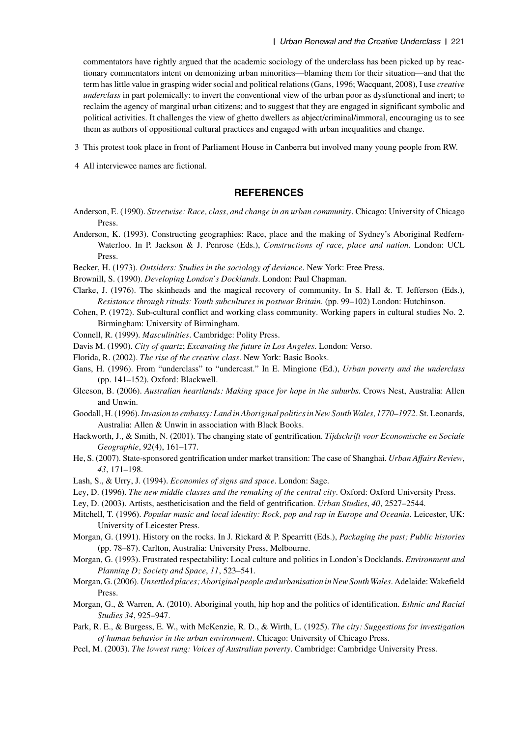commentators have rightly argued that the academic sociology of the underclass has been picked up by reactionary commentators intent on demonizing urban minorities—blaming them for their situation—and that the term has little value in grasping wider social and political relations (Gans, 1996; Wacquant, 2008), I use *creative underclass* in part polemically: to invert the conventional view of the urban poor as dysfunctional and inert; to reclaim the agency of marginal urban citizens; and to suggest that they are engaged in significant symbolic and political activities. It challenges the view of ghetto dwellers as abject/criminal/immoral, encouraging us to see them as authors of oppositional cultural practices and engaged with urban inequalities and change.

- 3 This protest took place in front of Parliament House in Canberra but involved many young people from RW.
- 4 All interviewee names are fictional.

# **REFERENCES**

- Anderson, E. (1990). *Streetwise: Race, class, and change in an urban community*. Chicago: University of Chicago Press.
- Anderson, K. (1993). Constructing geographies: Race, place and the making of Sydney's Aboriginal Redfern-Waterloo. In P. Jackson & J. Penrose (Eds.), *Constructions of race, place and nation*. London: UCL Press.
- Becker, H. (1973). *Outsiders: Studies in the sociology of deviance*. New York: Free Press.
- Brownill, S. (1990). *Developing London's Docklands*. London: Paul Chapman.
- Clarke, J. (1976). The skinheads and the magical recovery of community. In S. Hall &. T. Jefferson (Eds.), *Resistance through rituals: Youth subcultures in postwar Britain*. (pp. 99–102) London: Hutchinson.
- Cohen, P. (1972). Sub-cultural conflict and working class community. Working papers in cultural studies No. 2. Birmingham: University of Birmingham.
- Connell, R. (1999). *Masculinities*. Cambridge: Polity Press.
- Davis M. (1990). *City of quartz*; *Excavating the future in Los Angeles*. London: Verso.
- Florida, R. (2002). *The rise of the creative class*. New York: Basic Books.
- Gans, H. (1996). From "underclass" to "undercast." In E. Mingione (Ed.), *Urban poverty and the underclass* (pp. 141–152). Oxford: Blackwell.
- Gleeson, B. (2006). *Australian heartlands: Making space for hope in the suburbs*. Crows Nest, Australia: Allen and Unwin.
- Goodall, H. (1996).*Invasion to embassy: Land in Aboriginal politics in New South Wales, 1770–1972*. St. Leonards, Australia: Allen & Unwin in association with Black Books.
- Hackworth, J., & Smith, N. (2001). The changing state of gentrification. *Tijdschrift voor Economische en Sociale Geographie*, *92*(4), 161–177.
- He, S. (2007). State-sponsored gentrification under market transition: The case of Shanghai. *Urban Affairs Review*, *43*, 171–198.
- Lash, S., & Urry, J. (1994). *Economies of signs and space*. London: Sage.
- Ley, D. (1996). *The new middle classes and the remaking of the central city*. Oxford: Oxford University Press.
- Ley, D. (2003). Artists, aestheticisation and the field of gentrification. *Urban Studies*, *40*, 2527–2544.
- Mitchell, T. (1996). *Popular music and local identity: Rock, pop and rap in Europe and Oceania*. Leicester, UK: University of Leicester Press.
- Morgan, G. (1991). History on the rocks. In J. Rickard & P. Spearritt (Eds.), *Packaging the past; Public histories* (pp. 78–87). Carlton, Australia: University Press, Melbourne.
- Morgan, G. (1993). Frustrated respectability: Local culture and politics in London's Docklands. *Environment and Planning D; Society and Space*, *11*, 523–541.
- Morgan, G. (2006). *Unsettled places; Aboriginal people and urbanisation in New South Wales*. Adelaide: Wakefield Press.
- Morgan, G., & Warren, A. (2010). Aboriginal youth, hip hop and the politics of identification. *Ethnic and Racial Studies 34*, 925–947.
- Park, R. E., & Burgess, E. W., with McKenzie, R. D., & Wirth, L. (1925). *The city: Suggestions for investigation of human behavior in the urban environment*. Chicago: University of Chicago Press.
- Peel, M. (2003). *The lowest rung: Voices of Australian poverty*. Cambridge: Cambridge University Press.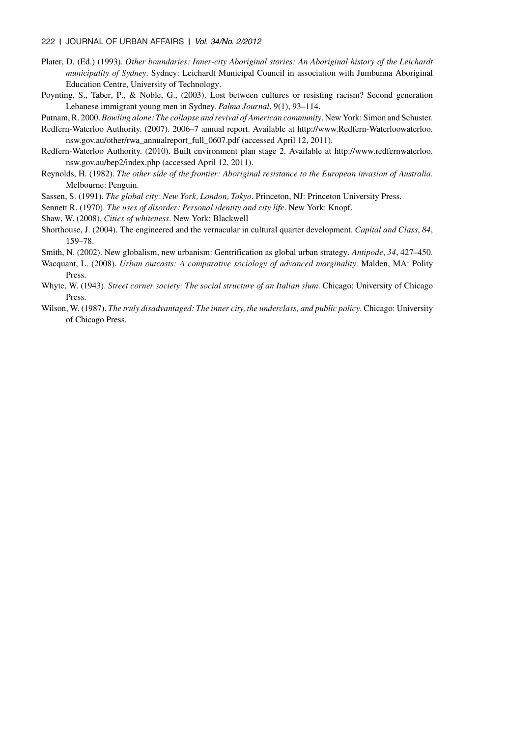- Plater, D. (Ed.) (1993). *Other boundaries: Inner-city Aboriginal stories: An Aboriginal history of the Leichardt municipality of Sydney*. Sydney: Leichardt Municipal Council in association with Jumbunna Aboriginal Education Centre, University of Technology.
- Poynting, S., Taber, P., & Noble, G., (2003). Lost between cultures or resisting racism? Second generation Lebanese immigrant young men in Sydney. *Palma Journal*, 9(1), 93–114.

Putnam, R. 2000. *Bowling alone: The collapse and revival of American community*. New York: Simon and Schuster.

- Redfern-Waterloo Authority. (2007). 2006–7 annual report. Available at http://www.Redfern-Waterloowaterloo. nsw.gov.au/other/rwa\_annualreport\_full\_0607.pdf (accessed April 12, 2011).
- Redfern-Waterloo Authority. (2010). Built environment plan stage 2. Available at http://www.redfernwaterloo. nsw.gov.au/bep2/index.php (accessed April 12, 2011).
- Reynolds, H. (1982). *The other side of the frontier: Aboriginal resistance to the European invasion of Australia*. Melbourne: Penguin.
- Sassen, S. (1991). *The global city: New York, London, Tokyo*. Princeton, NJ: Princeton University Press.
- Sennett R. (1970). *The uses of disorder: Personal identity and city life*. New York: Knopf.
- Shaw, W. (2008). *Cities of whiteness*. New York: Blackwell
- Shorthouse, J. (2004). The engineered and the vernacular in cultural quarter development. *Capital and Class*, *84*, 159–78.

Smith, N. (2002). New globalism, new urbanism: Gentrification as global urban strategy. *Antipode*, *34*, 427–450.

- Wacquant, L. (2008). *Urban outcasts: A comparative sociology of advanced marginality*. Malden, MA: Polity Press.
- Whyte, W. (1943). *Street corner society: The social structure of an Italian slum*. Chicago: University of Chicago Press.
- Wilson, W. (1987). *The truly disadvantaged: The inner city, the underclass, and public policy*. Chicago: University of Chicago Press.